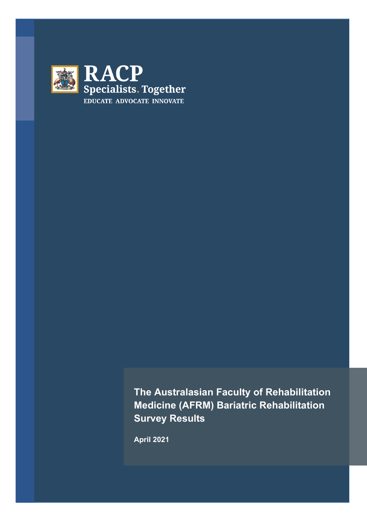

**The Australasian Faculty of Rehabilitation Medicine (AFRM) Bariatric Rehabilitation Survey Results**

**April 2021**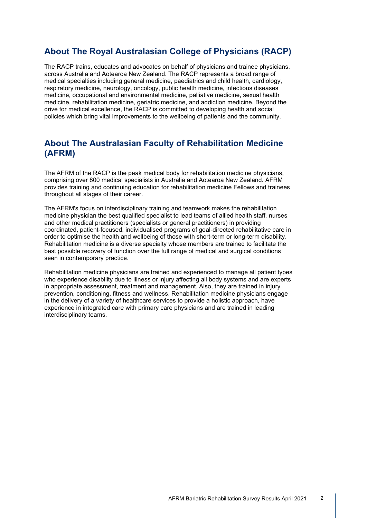### **About The Royal Australasian College of Physicians (RACP)**

The RACP trains, educates and advocates on behalf of physicians and trainee physicians, across Australia and Aotearoa New Zealand. The RACP represents a broad range of medical specialties including general medicine, paediatrics and child health, cardiology, respiratory medicine, neurology, oncology, public health medicine, infectious diseases medicine, occupational and environmental medicine, palliative medicine, sexual health medicine, rehabilitation medicine, geriatric medicine, and addiction medicine. Beyond the drive for medical excellence, the RACP is committed to developing health and social policies which bring vital improvements to the wellbeing of patients and the community.

#### **About The Australasian Faculty of Rehabilitation Medicine (AFRM)**

The AFRM of the RACP is the peak medical body for rehabilitation medicine physicians, comprising over 800 medical specialists in Australia and Aotearoa New Zealand. AFRM provides training and continuing education for rehabilitation medicine Fellows and trainees throughout all stages of their career.

The AFRM's focus on interdisciplinary training and teamwork makes the rehabilitation medicine physician the best qualified specialist to lead teams of allied health staff, nurses and other medical practitioners (specialists or general practitioners) in providing coordinated, patient-focused, individualised programs of goal-directed rehabilitative care in order to optimise the health and wellbeing of those with short-term or long-term disability. Rehabilitation medicine is a diverse specialty whose members are trained to facilitate the best possible recovery of function over the full range of medical and surgical conditions seen in contemporary practice.

Rehabilitation medicine physicians are trained and experienced to manage all patient types who experience disability due to illness or injury affecting all body systems and are experts in appropriate assessment, treatment and management. Also, they are trained in injury prevention, conditioning, fitness and wellness. Rehabilitation medicine physicians engage in the delivery of a variety of healthcare services to provide a holistic approach, have experience in integrated care with primary care physicians and are trained in leading interdisciplinary teams.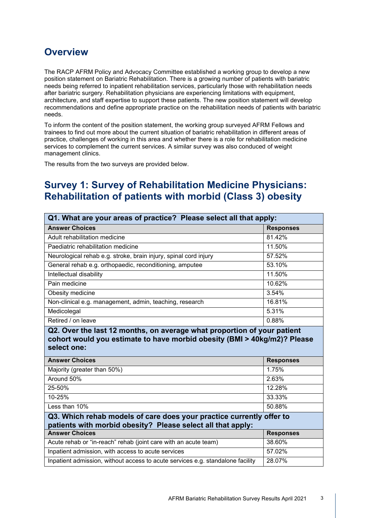## **Overview**

The RACP AFRM Policy and Advocacy Committee established a working group to develop a new position statement on Bariatric Rehabilitation. There is a growing number of patients with bariatric needs being referred to inpatient rehabilitation services, particularly those with rehabilitation needs after bariatric surgery. Rehabilitation physicians are experiencing limitations with equipment, architecture, and staff expertise to support these patients. The new position statement will develop recommendations and define appropriate practice on the rehabilitation needs of patients with bariatric needs.

To inform the content of the position statement, the working group surveyed AFRM Fellows and trainees to find out more about the current situation of bariatric rehabilitation in different areas of practice, challenges of working in this area and whether there is a role for rehabilitation medicine services to complement the current services. A similar survey was also conduced of weight management clinics.

The results from the two surveys are provided below.

## **Survey 1: Survey of Rehabilitation Medicine Physicians: Rehabilitation of patients with morbid (Class 3) obesity**

| Q1. What are your areas of practice? Please select all that apply:                                                                                                        |                  |
|---------------------------------------------------------------------------------------------------------------------------------------------------------------------------|------------------|
| <b>Answer Choices</b>                                                                                                                                                     | <b>Responses</b> |
| Adult rehabilitation medicine                                                                                                                                             | 81.42%           |
| Paediatric rehabilitation medicine                                                                                                                                        | 11.50%           |
| Neurological rehab e.g. stroke, brain injury, spinal cord injury                                                                                                          | 57.52%           |
| General rehab e.g. orthopaedic, reconditioning, amputee                                                                                                                   | 53.10%           |
| Intellectual disability                                                                                                                                                   | 11.50%           |
| Pain medicine                                                                                                                                                             | 10.62%           |
| Obesity medicine                                                                                                                                                          | 3.54%            |
| Non-clinical e.g. management, admin, teaching, research                                                                                                                   | 16.81%           |
| Medicolegal                                                                                                                                                               | 5.31%            |
|                                                                                                                                                                           | 0.88%            |
| Retired / on leave<br>Q2. Over the last 12 months, on average what proportion of your patient<br>cohort would you estimate to have morbid obesity (BMI > 40kg/m2)? Please |                  |
| select one:<br><b>Answer Choices</b>                                                                                                                                      | <b>Responses</b> |
| Majority (greater than 50%)                                                                                                                                               | 1.75%            |
| Around 50%                                                                                                                                                                | 2.63%            |
| 25-50%                                                                                                                                                                    | 12.28%           |
| 10-25%                                                                                                                                                                    | 33.33%           |
| Less than 10%                                                                                                                                                             | 50.88%           |
| Q3. Which rehab models of care does your practice currently offer to<br>patients with morbid obesity? Please select all that apply:                                       |                  |
| <b>Answer Choices</b>                                                                                                                                                     | <b>Responses</b> |
| Acute rehab or "in-reach" rehab (joint care with an acute team)                                                                                                           | 38.60%           |
| Inpatient admission, with access to acute services<br>Inpatient admission, without access to acute services e.g. standalone facility                                      | 57.02%<br>28.07% |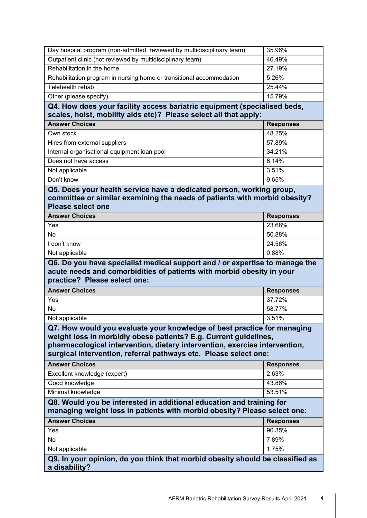| Day hospital program (non-admitted, reviewed by multidisciplinary team)                                                                                                                                                                                                                       | 35.96%           |
|-----------------------------------------------------------------------------------------------------------------------------------------------------------------------------------------------------------------------------------------------------------------------------------------------|------------------|
| Outpatient clinic (not reviewed by multidisciplinary team)                                                                                                                                                                                                                                    | 46.49%           |
| Rehabilitation in the home                                                                                                                                                                                                                                                                    | 27.19%           |
| Rehabilitation program in nursing home or transitional accommodation                                                                                                                                                                                                                          | 5.26%            |
| Telehealth rehab                                                                                                                                                                                                                                                                              | 25.44%           |
| Other (please specify)                                                                                                                                                                                                                                                                        | 15.79%           |
| Q4. How does your facility access bariatric equipment (specialised beds,<br>scales, hoist, mobility aids etc)? Please select all that apply:                                                                                                                                                  |                  |
| <b>Answer Choices</b>                                                                                                                                                                                                                                                                         | <b>Responses</b> |
| Own stock                                                                                                                                                                                                                                                                                     | 48.25%           |
| Hires from external suppliers                                                                                                                                                                                                                                                                 | 57.89%           |
| Internal organisational equipment loan pool                                                                                                                                                                                                                                                   | 34.21%           |
| Does not have access                                                                                                                                                                                                                                                                          | 6.14%            |
| Not applicable                                                                                                                                                                                                                                                                                | 3.51%            |
| Don't know                                                                                                                                                                                                                                                                                    | 9.65%            |
| Q5. Does your health service have a dedicated person, working group,<br>committee or similar examining the needs of patients with morbid obesity?<br><b>Please select one</b>                                                                                                                 |                  |
| <b>Answer Choices</b>                                                                                                                                                                                                                                                                         | <b>Responses</b> |
| Yes                                                                                                                                                                                                                                                                                           | 23.68%           |
| No                                                                                                                                                                                                                                                                                            | 50.88%           |
| I don't know                                                                                                                                                                                                                                                                                  | 24.56%           |
| Not applicable                                                                                                                                                                                                                                                                                | 0.88%            |
|                                                                                                                                                                                                                                                                                               |                  |
| Q6. Do you have specialist medical support and / or expertise to manage the<br>acute needs and comorbidities of patients with morbid obesity in your<br>practice? Please select one:                                                                                                          |                  |
| <b>Answer Choices</b>                                                                                                                                                                                                                                                                         | <b>Responses</b> |
| Yes                                                                                                                                                                                                                                                                                           | 37.72%           |
| No                                                                                                                                                                                                                                                                                            | 58.77%           |
| Not applicable                                                                                                                                                                                                                                                                                | 3.51%            |
| Q7. How would you evaluate your knowledge of best practice for managing<br>weight loss in morbidly obese patients? E.g. Current guidelines,<br>pharmacological intervention, dietary intervention, exercise intervention,<br>surgical intervention, referral pathways etc. Please select one: |                  |
| <b>Answer Choices</b>                                                                                                                                                                                                                                                                         | <b>Responses</b> |
| Excellent knowledge (expert)                                                                                                                                                                                                                                                                  | 2.63%            |
| Good knowledge                                                                                                                                                                                                                                                                                | 43.86%           |
| Minimal knowledge                                                                                                                                                                                                                                                                             | 53.51%           |
| Q8. Would you be interested in additional education and training for<br>managing weight loss in patients with morbid obesity? Please select one:                                                                                                                                              |                  |
| <b>Answer Choices</b>                                                                                                                                                                                                                                                                         | <b>Responses</b> |
| Yes                                                                                                                                                                                                                                                                                           | 90.35%           |
| <b>No</b>                                                                                                                                                                                                                                                                                     | 7.89%            |
| Not applicable                                                                                                                                                                                                                                                                                | 1.75%            |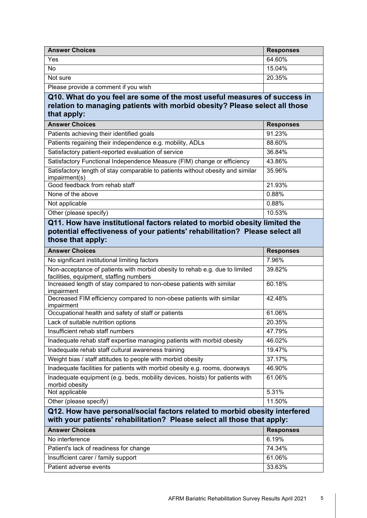| <b>Answer Choices</b>                                                                                                                                                 | <b>Responses</b>          |
|-----------------------------------------------------------------------------------------------------------------------------------------------------------------------|---------------------------|
| Yes                                                                                                                                                                   | 64.60%                    |
| No                                                                                                                                                                    | 15.04%                    |
| Not sure                                                                                                                                                              | 20.35%                    |
| Please provide a comment if you wish                                                                                                                                  |                           |
| Q10. What do you feel are some of the most useful measures of success in<br>relation to managing patients with morbid obesity? Please select all those<br>that apply: |                           |
| <b>Answer Choices</b>                                                                                                                                                 | <b>Responses</b>          |
| Patients achieving their identified goals                                                                                                                             | 91.23%                    |
| Patients regaining their independence e.g. mobility, ADLs                                                                                                             | 88.60%                    |
| Satisfactory patient-reported evaluation of service                                                                                                                   | 36.84%                    |
| Satisfactory Functional Independence Measure (FIM) change or efficiency                                                                                               | 43.86%<br>35.96%          |
| Satisfactory length of stay comparable to patients without obesity and similar<br>impairment(s)                                                                       |                           |
| Good feedback from rehab staff                                                                                                                                        | 21.93%                    |
| None of the above                                                                                                                                                     | 0.88%                     |
| Not applicable                                                                                                                                                        | 0.88%                     |
| Other (please specify)<br>Q11. How have institutional factors related to morbid obesity limited the                                                                   | 10.53%                    |
| potential effectiveness of your patients' rehabilitation? Please select all<br>those that apply:<br><b>Answer Choices</b>                                             |                           |
| No significant institutional limiting factors                                                                                                                         | <b>Responses</b><br>7.96% |
| Non-acceptance of patients with morbid obesity to rehab e.g. due to limited                                                                                           | 39.82%                    |
| facilities, equipment, staffing numbers                                                                                                                               |                           |
| Increased length of stay compared to non-obese patients with similar<br>impairment                                                                                    | 60.18%                    |
| Decreased FIM efficiency compared to non-obese patients with similar<br>impairment                                                                                    | 42.48%                    |
| Occupational health and safety of staff or patients                                                                                                                   | 61.06%                    |
| Lack of suitable nutrition options                                                                                                                                    | 20.35%                    |
| Insufficient rehab staff numbers                                                                                                                                      | 47.79%                    |
| Inadequate rehab staff expertise managing patients with morbid obesity                                                                                                | 46.02%                    |
| Inadequate rehab staff cultural awareness training                                                                                                                    | 19.47%                    |
| Weight bias / staff attitudes to people with morbid obesity                                                                                                           | 37.17%                    |
| Inadequate facilities for patients with morbid obesity e.g. rooms, doorways                                                                                           | 46.90%                    |
| Inadequate equipment (e.g. beds, mobility devices, hoists) for patients with<br>morbid obesity                                                                        | 61.06%                    |
| Not applicable                                                                                                                                                        | 5.31%                     |
| Other (please specify)                                                                                                                                                | 11.50%                    |
| Q12. How have personal/social factors related to morbid obesity interfered<br>with your patients' rehabilitation? Please select all those that apply:                 |                           |
| <b>Answer Choices</b>                                                                                                                                                 | <b>Responses</b>          |
| No interference                                                                                                                                                       | 6.19%                     |
| Patient's lack of readiness for change                                                                                                                                | 74.34%                    |
| Insufficient carer / family support                                                                                                                                   | 61.06%                    |
| Patient adverse events                                                                                                                                                | 33.63%                    |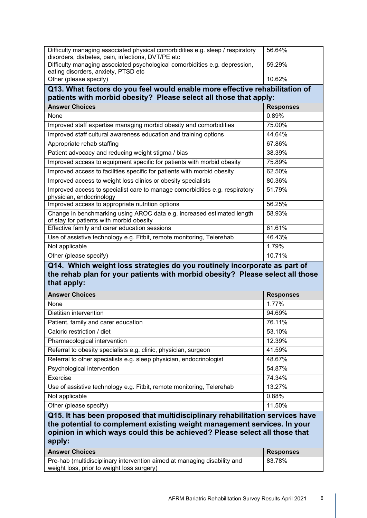| Difficulty managing associated physical comorbidities e.g. sleep / respiratory                                                                                                                                                                                             | 56.64%           |
|----------------------------------------------------------------------------------------------------------------------------------------------------------------------------------------------------------------------------------------------------------------------------|------------------|
| disorders, diabetes, pain, infections, DVT/PE etc<br>Difficulty managing associated psychological comorbidities e.g. depression,<br>eating disorders, anxiety, PTSD etc                                                                                                    | 59.29%           |
| Other (please specify)                                                                                                                                                                                                                                                     | 10.62%           |
| Q13. What factors do you feel would enable more effective rehabilitation of                                                                                                                                                                                                |                  |
| patients with morbid obesity? Please select all those that apply:                                                                                                                                                                                                          |                  |
| <b>Answer Choices</b>                                                                                                                                                                                                                                                      | <b>Responses</b> |
| None                                                                                                                                                                                                                                                                       | 0.89%            |
| Improved staff expertise managing morbid obesity and comorbidities                                                                                                                                                                                                         | 75.00%           |
| Improved staff cultural awareness education and training options                                                                                                                                                                                                           | 44.64%           |
| Appropriate rehab staffing                                                                                                                                                                                                                                                 | 67.86%           |
| Patient advocacy and reducing weight stigma / bias                                                                                                                                                                                                                         | 38.39%           |
| Improved access to equipment specific for patients with morbid obesity                                                                                                                                                                                                     | 75.89%           |
| Improved access to facilities specific for patients with morbid obesity                                                                                                                                                                                                    | 62.50%           |
| Improved access to weight loss clinics or obesity specialists                                                                                                                                                                                                              | 80.36%           |
| Improved access to specialist care to manage comorbidities e.g. respiratory<br>physician, endocrinology                                                                                                                                                                    | 51.79%           |
| Improved access to appropriate nutrition options                                                                                                                                                                                                                           | 56.25%           |
| Change in benchmarking using AROC data e.g. increased estimated length<br>of stay for patients with morbid obesity                                                                                                                                                         | 58.93%           |
| Effective family and carer education sessions                                                                                                                                                                                                                              | 61.61%           |
| Use of assistive technology e.g. Fitbit, remote monitoring, Telerehab                                                                                                                                                                                                      | 46.43%           |
| Not applicable                                                                                                                                                                                                                                                             | 1.79%            |
| Other (please specify)                                                                                                                                                                                                                                                     | 10.71%           |
|                                                                                                                                                                                                                                                                            |                  |
| Q14. Which weight loss strategies do you routinely incorporate as part of<br>the rehab plan for your patients with morbid obesity? Please select all those<br>that apply:                                                                                                  |                  |
| <b>Answer Choices</b>                                                                                                                                                                                                                                                      | <b>Responses</b> |
| None                                                                                                                                                                                                                                                                       | 1.77%            |
| Dietitian intervention                                                                                                                                                                                                                                                     | 94.69%           |
| Patient, family and carer education                                                                                                                                                                                                                                        | 76.11%           |
| Caloric restriction / diet                                                                                                                                                                                                                                                 | 53.10%           |
| Pharmacological intervention                                                                                                                                                                                                                                               | 12.39%           |
| Referral to obesity specialists e.g. clinic, physician, surgeon                                                                                                                                                                                                            | 41.59%           |
| Referral to other specialists e.g. sleep physician, endocrinologist                                                                                                                                                                                                        | 48.67%           |
| Psychological intervention                                                                                                                                                                                                                                                 | 54.87%           |
| Exercise                                                                                                                                                                                                                                                                   | 74.34%           |
| Use of assistive technology e.g. Fitbit, remote monitoring, Telerehab                                                                                                                                                                                                      | 13.27%           |
| Not applicable                                                                                                                                                                                                                                                             | 0.88%            |
| Other (please specify)                                                                                                                                                                                                                                                     | 11.50%           |
| Q15. It has been proposed that multidisciplinary rehabilitation services have<br>the potential to complement existing weight management services. In your<br>opinion in which ways could this be achieved? Please select all those that<br>apply:<br><b>Answer Choices</b> | <b>Responses</b> |

| Pre-hab (multidisciplinary intervention aimed at managing disability and | 83.78% |
|--------------------------------------------------------------------------|--------|
| weight loss, prior to weight loss surgery)                               |        |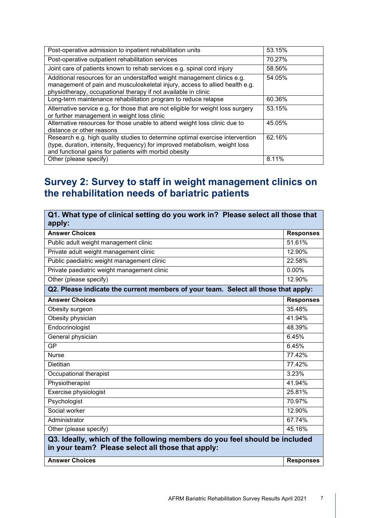| Post-operative admission to inpatient rehabilitation units                                                                                                                                                               | 53.15% |
|--------------------------------------------------------------------------------------------------------------------------------------------------------------------------------------------------------------------------|--------|
| Post-operative outpatient rehabilitation services                                                                                                                                                                        | 70.27% |
| Joint care of patients known to rehab services e.g. spinal cord injury                                                                                                                                                   | 58.56% |
| Additional resources for an understaffed weight management clinics e.g.<br>management of pain and musculoskeletal injury, access to allied health e.g.<br>physiotherapy, occupational therapy if not available in clinic | 54.05% |
| Long-term maintenance rehabilitation program to reduce relapse                                                                                                                                                           | 60.36% |
| Alternative service e.g. for those that are not eligible for weight loss surgery<br>or further management in weight loss clinic                                                                                          | 53.15% |
| Alternative resources for those unable to attend weight loss clinic due to<br>distance or other reasons                                                                                                                  | 45.05% |
| Research e.g. high quality studies to determine optimal exercise intervention<br>(type, duration, intensity, frequency) for improved metabolism, weight loss<br>and functional gains for patients with morbid obesity    | 62.16% |
| Other (please specify)                                                                                                                                                                                                   | 8.11%  |

# **Survey 2: Survey to staff in weight management clinics on the rehabilitation needs of bariatric patients**

| Q1. What type of clinical setting do you work in? Please select all those that<br>apply:                                        |                  |
|---------------------------------------------------------------------------------------------------------------------------------|------------------|
| <b>Answer Choices</b>                                                                                                           | <b>Responses</b> |
| Public adult weight management clinic                                                                                           | 51.61%           |
| Private adult weight management clinic                                                                                          | 12.90%           |
| Public paediatric weight management clinic                                                                                      | 22.58%           |
| Private paediatric weight management clinic                                                                                     | 0.00%            |
| Other (please specify)                                                                                                          | 12.90%           |
| Q2. Please indicate the current members of your team. Select all those that apply:                                              |                  |
| <b>Answer Choices</b>                                                                                                           | <b>Responses</b> |
| Obesity surgeon                                                                                                                 | 35.48%           |
| Obesity physician                                                                                                               | 41.94%           |
| Endocrinologist                                                                                                                 | 48.39%           |
| General physician                                                                                                               | 6.45%            |
| <b>GP</b>                                                                                                                       | 6.45%            |
| <b>Nurse</b>                                                                                                                    | 77.42%           |
| <b>Dietitian</b>                                                                                                                | 77.42%           |
| Occupational therapist                                                                                                          | 3.23%            |
| Physiotherapist                                                                                                                 | 41.94%           |
| Exercise physiologist                                                                                                           | 25.81%           |
| Psychologist                                                                                                                    | 70.97%           |
| Social worker                                                                                                                   | 12.90%           |
| Administrator                                                                                                                   | 67.74%           |
| Other (please specify)                                                                                                          | 45.16%           |
| Q3. Ideally, which of the following members do you feel should be included<br>in your team? Please select all those that apply: |                  |
| <b>Answer Choices</b>                                                                                                           | <b>Responses</b> |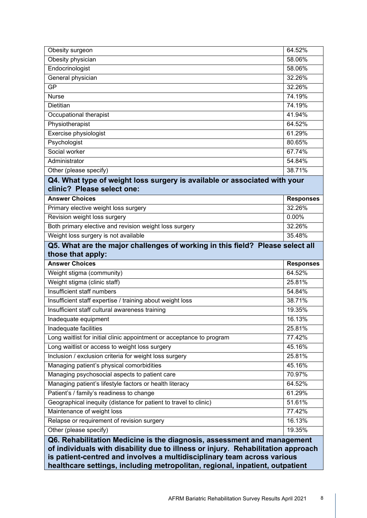| Obesity surgeon                                                               | 64.52%           |
|-------------------------------------------------------------------------------|------------------|
| Obesity physician                                                             | 58.06%           |
| Endocrinologist                                                               | 58.06%           |
| General physician                                                             | 32.26%           |
| <b>GP</b>                                                                     | 32.26%           |
| <b>Nurse</b>                                                                  | 74.19%           |
| Dietitian                                                                     | 74.19%           |
| Occupational therapist                                                        | 41.94%           |
| Physiotherapist                                                               | 64.52%           |
| Exercise physiologist                                                         | 61.29%           |
| Psychologist                                                                  | 80.65%           |
| Social worker                                                                 | 67.74%           |
| Administrator                                                                 | 54.84%           |
| Other (please specify)                                                        | 38.71%           |
| Q4. What type of weight loss surgery is available or associated with your     |                  |
| clinic? Please select one:                                                    |                  |
| <b>Answer Choices</b>                                                         | <b>Responses</b> |
| Primary elective weight loss surgery                                          | 32.26%           |
| Revision weight loss surgery                                                  | 0.00%            |
| Both primary elective and revision weight loss surgery                        | 32.26%           |
| Weight loss surgery is not available                                          | 35.48%           |
| Q5. What are the major challenges of working in this field? Please select all |                  |
| those that apply:                                                             |                  |
| <b>Answer Choices</b>                                                         | <b>Responses</b> |
| Weight stigma (community)                                                     | 64.52%           |
| Weight stigma (clinic staff)                                                  | 25.81%           |
| Insufficient staff numbers                                                    |                  |
|                                                                               | 54.84%           |
| Insufficient staff expertise / training about weight loss                     | 38.71%           |
| Insufficient staff cultural awareness training                                | 19.35%           |
| Inadequate equipment                                                          | 16.13%           |
| Inadequate facilities                                                         | 25.81%           |
| Long waitlist for initial clinic appointment or acceptance to program         | 77.42%           |
| Long waitlist or access to weight loss surgery                                | 45.16%           |
| Inclusion / exclusion criteria for weight loss surgery                        | 25.81%           |
| Managing patient's physical comorbidities                                     | 45.16%           |
| Managing psychosocial aspects to patient care                                 | 70.97%           |
| Managing patient's lifestyle factors or health literacy                       | 64.52%           |
| Patient's / family's readiness to change                                      | 61.29%           |
| Geographical inequity (distance for patient to travel to clinic)              | 51.61%           |
| Maintenance of weight loss                                                    | 77.42%           |
| Relapse or requirement of revision surgery                                    | 16.13%           |
| Other (please specify)                                                        | 19.35%           |
| Q6. Rehabilitation Medicine is the diagnosis, assessment and management       |                  |

**of individuals with disability due to illness or injury. Rehabilitation approach is patient-centred and involves a multidisciplinary team across various healthcare settings, including metropolitan, regional, inpatient, outpatient**